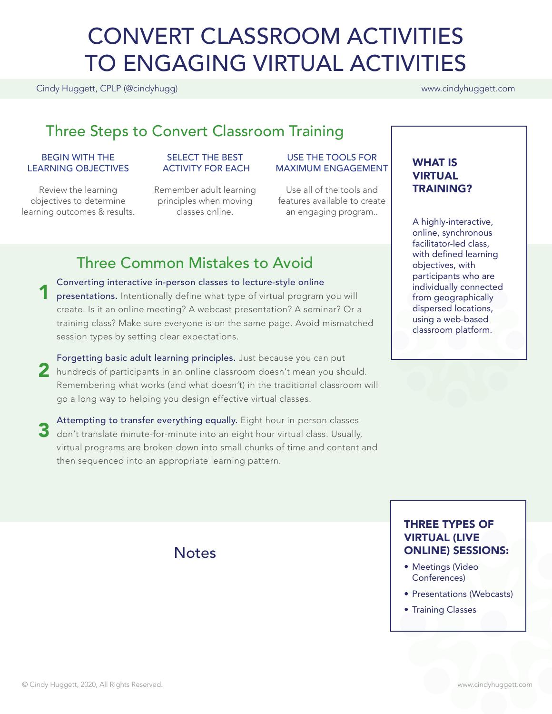# CONVERT CLASSROOM ACTIVITIES TO ENGAGING VIRTUAL ACTIVITIES

Cindy Huggett, CPLP (@cindyhugg) www.cindyhuggett.com

# Three Steps to Convert Classroom Training

#### BEGIN WITH THE LEARNING OBJECTIVES

Review the learning objectives to determine learning outcomes & results.

#### SELECT THE BEST ACTIVITY FOR EACH

Remember adult learning principles when moving classes online.

#### USE THE TOOLS FOR MAXIMUM ENGAGEMENT

Use all of the tools and features available to create an engaging program..

# Three Common Mistakes to Avoid

Converting interactive in-person classes to lecture-style online presentations. Intentionally define what type of virtual program you will create. Is it an online meeting? A webcast presentation? A seminar? Or a training class? Make sure everyone is on the same page. Avoid mismatched session types by setting clear expectations. 1

Forgetting basic adult learning principles. Just because you can put 2 hundreds of participants in an online classroom doesn't mean you should. Remembering what works (and what doesn't) in the traditional classroom will go a long way to helping you design effective virtual classes.

Attempting to transfer everything equally. Eight hour in-person classes don't translate minute-for-minute into an eight hour virtual class. Usually, virtual programs are broken down into small chunks of time and content and then sequenced into an appropriate learning pattern. 3

**Notes** 

#### WHAT IS VIRTUAL TRAINING?

A highly-interactive, online, synchronous facilitator-led class, with defined learning objectives, with participants who are individually connected from geographically dispersed locations, using a web-based classroom platform.

### THREE TYPES OF VIRTUAL (LIVE ONLINE) SESSIONS:

- Meetings (Video Conferences)
- Presentations (Webcasts)
- Training Classes